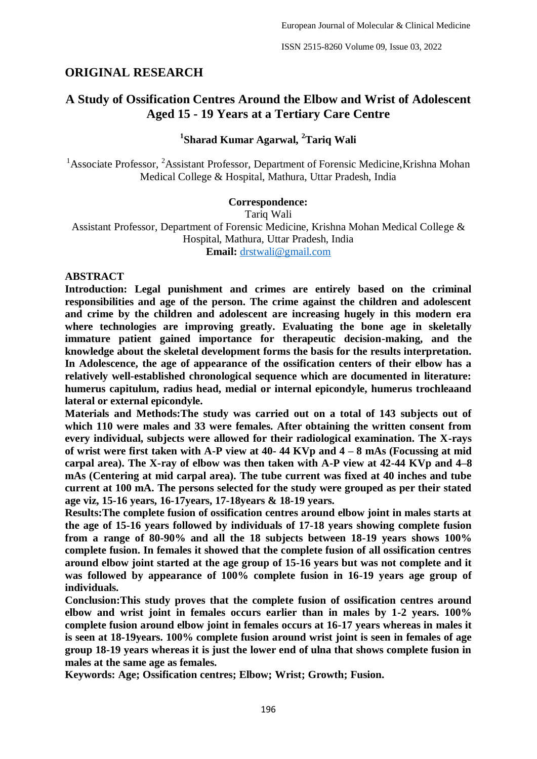# **ORIGINAL RESEARCH**

# **A Study of Ossification Centres Around the Elbow and Wrist of Adolescent Aged 15 - 19 Years at a Tertiary Care Centre**

# **1 Sharad Kumar Agarwal, <sup>2</sup>Tariq Wali**

<sup>1</sup>Associate Professor, <sup>2</sup>Assistant Professor, Department of Forensic Medicine, Krishna Mohan Medical College & Hospital, Mathura, Uttar Pradesh, India

#### **Correspondence:**

Tariq Wali

Assistant Professor, Department of Forensic Medicine, Krishna Mohan Medical College & Hospital, Mathura, Uttar Pradesh, India **Email:** [drstwali@gmail.com](about:blank)

#### **ABSTRACT**

**Introduction: Legal punishment and crimes are entirely based on the criminal responsibilities and age of the person. The crime against the children and adolescent and crime by the children and adolescent are increasing hugely in this modern era where technologies are improving greatly. Evaluating the bone age in skeletally immature patient gained importance for therapeutic decision-making, and the knowledge about the skeletal development forms the basis for the results interpretation. In Adolescence, the age of appearance of the ossification centers of their elbow has a relatively well-established chronological sequence which are documented in literature: humerus capitulum, radius head, medial or internal epicondyle, humerus trochleaand lateral or external epicondyle.** 

**Materials and Methods:The study was carried out on a total of 143 subjects out of which 110 were males and 33 were females. After obtaining the written consent from every individual, subjects were allowed for their radiological examination. The X-rays of wrist were first taken with A-P view at 40- 44 KVp and 4 – 8 mAs (Focussing at mid carpal area). The X-ray of elbow was then taken with A-P view at 42-44 KVp and 4–8 mAs (Centering at mid carpal area). The tube current was fixed at 40 inches and tube current at 100 mA. The persons selected for the study were grouped as per their stated age viz, 15-16 years, 16-17years, 17-18years & 18-19 years.** 

**Results:The complete fusion of ossification centres around elbow joint in males starts at the age of 15-16 years followed by individuals of 17-18 years showing complete fusion from a range of 80-90% and all the 18 subjects between 18-19 years shows 100% complete fusion. In females it showed that the complete fusion of all ossification centres around elbow joint started at the age group of 15-16 years but was not complete and it was followed by appearance of 100% complete fusion in 16-19 years age group of individuals.** 

**Conclusion:This study proves that the complete fusion of ossification centres around elbow and wrist joint in females occurs earlier than in males by 1-2 years. 100% complete fusion around elbow joint in females occurs at 16-17 years whereas in males it is seen at 18-19years. 100% complete fusion around wrist joint is seen in females of age group 18-19 years whereas it is just the lower end of ulna that shows complete fusion in males at the same age as females.**

**Keywords: Age; Ossification centres; Elbow; Wrist; Growth; Fusion.**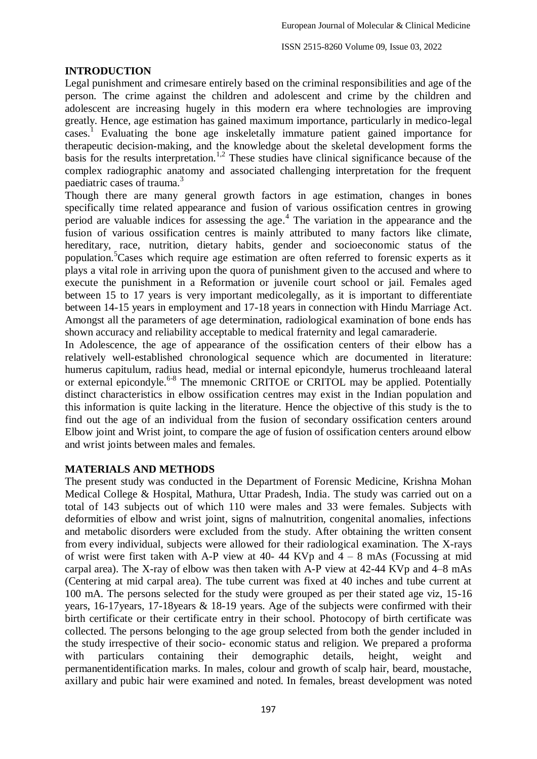### **INTRODUCTION**

Legal punishment and crimesare entirely based on the criminal responsibilities and age of the person. The crime against the children and adolescent and crime by the children and adolescent are increasing hugely in this modern era where technologies are improving greatly. Hence, age estimation has gained maximum importance, particularly in medico-legal cases.<sup>1</sup> Evaluating the bone age inskeletally immature patient gained importance for therapeutic decision-making, and the knowledge about the skeletal development forms the basis for the results interpretation.<sup>1,2</sup> These studies have clinical significance because of the complex radiographic anatomy and associated challenging interpretation for the frequent paediatric cases of trauma.<sup>3</sup>

Though there are many general growth factors in age estimation, changes in bones specifically time related appearance and fusion of various ossification centres in growing period are valuable indices for assessing the age. 4 The variation in the appearance and the fusion of various ossification centres is mainly attributed to many factors like climate, hereditary, race, nutrition, dietary habits, gender and socioeconomic status of the population.<sup>5</sup>Cases which require age estimation are often referred to forensic experts as it plays a vital role in arriving upon the quora of punishment given to the accused and where to execute the punishment in a Reformation or juvenile court school or jail. Females aged between 15 to 17 years is very important medicolegally, as it is important to differentiate between 14-15 years in employment and 17-18 years in connection with Hindu Marriage Act. Amongst all the parameters of age determination, radiological examination of bone ends has shown accuracy and reliability acceptable to medical fraternity and legal camaraderie.

In Adolescence, the age of appearance of the ossification centers of their elbow has a relatively well-established chronological sequence which are documented in literature: humerus capitulum, radius head, medial or internal epicondyle, humerus trochleaand lateral or external epicondyle.<sup>6-8</sup> The mnemonic CRITOE or CRITOL may be applied. Potentially distinct characteristics in elbow ossification centres may exist in the Indian population and this information is quite lacking in the literature. Hence the objective of this study is the to find out the age of an individual from the fusion of secondary ossification centers around Elbow joint and Wrist joint, to compare the age of fusion of ossification centers around elbow and wrist joints between males and females.

## **MATERIALS AND METHODS**

The present study was conducted in the Department of Forensic Medicine, Krishna Mohan Medical College & Hospital, Mathura, Uttar Pradesh, India. The study was carried out on a total of 143 subjects out of which 110 were males and 33 were females. Subjects with deformities of elbow and wrist joint, signs of malnutrition, congenital anomalies, infections and metabolic disorders were excluded from the study. After obtaining the written consent from every individual, subjects were allowed for their radiological examination. The X-rays of wrist were first taken with A-P view at 40- 44 KVp and  $4 - 8$  mAs (Focussing at mid carpal area). The X-ray of elbow was then taken with A-P view at 42-44 KVp and 4–8 mAs (Centering at mid carpal area). The tube current was fixed at 40 inches and tube current at 100 mA. The persons selected for the study were grouped as per their stated age viz, 15-16 years, 16-17years, 17-18years & 18-19 years. Age of the subjects were confirmed with their birth certificate or their certificate entry in their school. Photocopy of birth certificate was collected. The persons belonging to the age group selected from both the gender included in the study irrespective of their socio- economic status and religion. We prepared a proforma with particulars containing their demographic details, height, weight and permanentidentification marks. In males, colour and growth of scalp hair, beard, moustache, axillary and pubic hair were examined and noted. In females, breast development was noted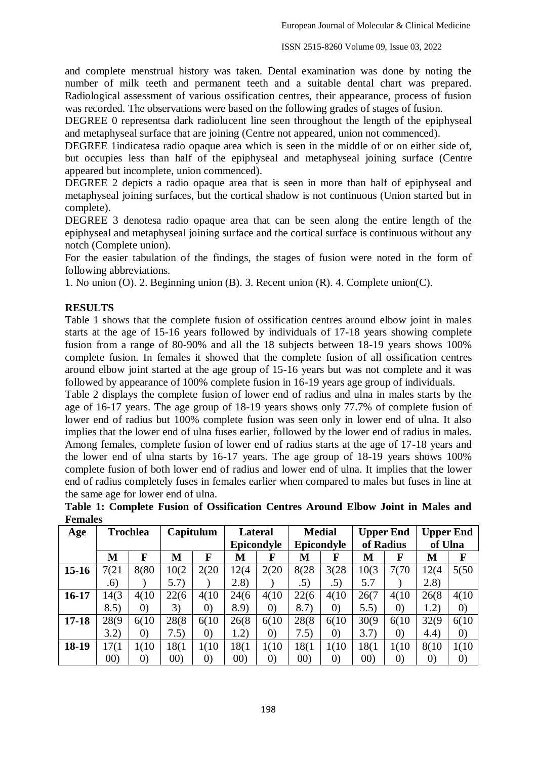and complete menstrual history was taken. Dental examination was done by noting the number of milk teeth and permanent teeth and a suitable dental chart was prepared. Radiological assessment of various ossification centres, their appearance, process of fusion was recorded. The observations were based on the following grades of stages of fusion.

DEGREE 0 representsa dark radiolucent line seen throughout the length of the epiphyseal and metaphyseal surface that are joining (Centre not appeared, union not commenced).

DEGREE 1indicatesa radio opaque area which is seen in the middle of or on either side of, but occupies less than half of the epiphyseal and metaphyseal joining surface (Centre appeared but incomplete, union commenced).

DEGREE 2 depicts a radio opaque area that is seen in more than half of epiphyseal and metaphyseal joining surfaces, but the cortical shadow is not continuous (Union started but in complete).

DEGREE 3 denotesa radio opaque area that can be seen along the entire length of the epiphyseal and metaphyseal joining surface and the cortical surface is continuous without any notch (Complete union).

For the easier tabulation of the findings, the stages of fusion were noted in the form of following abbreviations.

1. No union (O). 2. Beginning union (B). 3. Recent union (R). 4. Complete union(C).

### **RESULTS**

Table 1 shows that the complete fusion of ossification centres around elbow joint in males starts at the age of 15-16 years followed by individuals of 17-18 years showing complete fusion from a range of 80-90% and all the 18 subjects between 18-19 years shows 100% complete fusion. In females it showed that the complete fusion of all ossification centres around elbow joint started at the age group of 15-16 years but was not complete and it was followed by appearance of 100% complete fusion in 16-19 years age group of individuals.

Table 2 displays the complete fusion of lower end of radius and ulna in males starts by the age of 16-17 years. The age group of 18-19 years shows only 77.7% of complete fusion of lower end of radius but 100% complete fusion was seen only in lower end of ulna. It also implies that the lower end of ulna fuses earlier, followed by the lower end of radius in males. Among females, complete fusion of lower end of radius starts at the age of 17-18 years and the lower end of ulna starts by 16-17 years. The age group of 18-19 years shows 100% complete fusion of both lower end of radius and lower end of ulna. It implies that the lower end of radius completely fuses in females earlier when compared to males but fuses in line at the same age for lower end of ulna.

| Age       | <b>Trochlea</b> |                   | Capitulum |                   | <b>Lateral</b> |                   | <b>Medial</b> |                   | <b>Upper End</b> |                   | <b>Upper End</b>  |                   |
|-----------|-----------------|-------------------|-----------|-------------------|----------------|-------------------|---------------|-------------------|------------------|-------------------|-------------------|-------------------|
|           |                 |                   |           |                   | Epicondyle     |                   | Epicondyle    |                   | of Radius        |                   | of Ulna           |                   |
|           | M               | F                 | M         | F                 | M              | F                 | M             | F                 | M                | F                 | М                 | F                 |
| $15-16$   | 7(21)           | 8(80              | 10(2)     | 2(20)             | 12(4)          | 2(20)             | 8(28)         | 3(28)             | 10(3)            | 7(70)             | 12(4)             | 5(50)             |
|           | .6)             |                   | 5.7)      |                   | (2.8)          |                   | .5)           | .5)               | 5.7              |                   | (2.8)             |                   |
| $16-17$   | 14(3)           | 4(10)             | 22(6)     | 4(10)             | 24(6)          | 4(10)             | 22(6)         | 4(10)             | 26(7)            | 4(10)             | 26(8)             | 4(10)             |
|           | 8.5)            | $\left( 0\right)$ | 3)        | $\left( 0\right)$ | 8.9)           | $\left( 0\right)$ | 8.7)          | $\left( 0\right)$ | 5.5)             | $\left( 0\right)$ | 1.2)              | $\left( 0\right)$ |
| $17 - 18$ | 28(9)           | 6(10)             | 28(8)     | 6(10)             | 26(8)          | 6(10)             | 28(8)         | 6(10)             | 30(9)            | 6(10)             | 32(9)             | 6(10)             |
|           | 3.2)            | $\left( 0\right)$ | 7.5)      | $\left( 0\right)$ | 1.2)           | $\left( 0\right)$ | 7.5)          | $\left( 0\right)$ | 3.7)             | $\left( 0\right)$ | (4.4)             | $\left( 0\right)$ |
| $18-19$   | 17(1)           | 1(10)             | 18(1      | 1(10)             | 18(1           | 1(10)             | 18(1          | 1(10)             | 18(1             | 1(10)             | 8(10)             | 1(10)             |
|           | (00)            | $\left( 0\right)$ | (00)      | $\left( 0\right)$ | (00)           | $\left( 0\right)$ | (00)          | $\left( 0\right)$ | (00)             | $\left( 0\right)$ | $\left( 0\right)$ | $\left( 0\right)$ |

**Table 1: Complete Fusion of Ossification Centres Around Elbow Joint in Males and Females**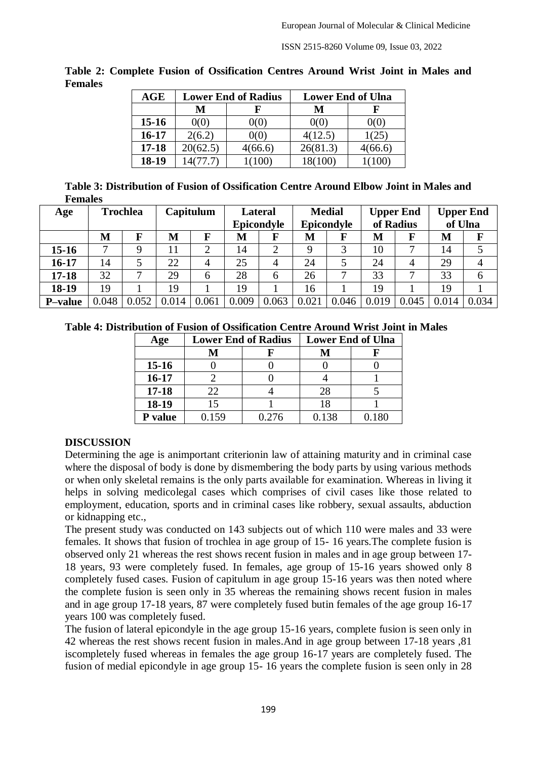ISSN 2515-8260 Volume 09, Issue 03, 2022

| AGE       |          | <b>Lower End of Radius</b> | <b>Lower End of Ulna</b> |         |  |  |
|-----------|----------|----------------------------|--------------------------|---------|--|--|
|           | M        |                            | M                        |         |  |  |
| $15-16$   | 0(0)     | ') $(0,$                   | 0(0)                     | 00)     |  |  |
| $16-17$   | 2(6.2)   | 0(0)                       | 4(12.5)                  | 1(25)   |  |  |
| $17 - 18$ | 20(62.5) | 4(66.6)                    | 26(81.3)                 | 4(66.6) |  |  |
| 18-19     | 14(77.7) | (100)                      | 18(100)                  |         |  |  |

**Table 2: Complete Fusion of Ossification Centres Around Wrist Joint in Males and Females**

| Table 3: Distribution of Fusion of Ossification Centre Around Elbow Joint in Males and |
|----------------------------------------------------------------------------------------|
| <b>Females</b>                                                                         |

| Age             | <b>Trochlea</b> |       | Capitulum |       | <b>Lateral</b><br>Epicondyle |                | <b>Medial</b><br>Epicondyle |          | <b>Upper End</b><br>of Radius |       | <b>Upper End</b><br>of Ulna |       |
|-----------------|-----------------|-------|-----------|-------|------------------------------|----------------|-----------------------------|----------|-------------------------------|-------|-----------------------------|-------|
|                 | M               | F     | M         | F     | M                            |                | M                           | $\bf{F}$ | M                             |       | M                           | F     |
| $15 - 16$       | $\mathbf{r}$    | Q     | 11        | 2     | 14                           | 2              | Q                           | 3        | 10                            |       | 14                          |       |
| $16-17$         | 14              |       | 22        | 4     | 25                           | $\overline{4}$ | 24                          |          | 24                            | 4     | 29                          |       |
| $17 - 18$       | 32              | ⇁     | 29        | 6     | 28                           | 6              | 26                          |          | 33                            |       | 33                          | h     |
| 18-19           | 19              |       | 19        |       | 19                           |                | 16                          |          | 19                            |       | 19                          |       |
| <b>P</b> -value | 0.048           | 0.052 | 0.014     | 0.061 | 0.009                        | 0.063          | 0.021                       | 0.046    | 0.019                         | 0.045 | 0.014                       | 0.034 |

|  |  | Table 4: Distribution of Fusion of Ossification Centre Around Wrist Joint in Males |
|--|--|------------------------------------------------------------------------------------|
|--|--|------------------------------------------------------------------------------------|

| Age            | <b>Lower End of Radius</b> |       | <b>Lower End of Ulna</b> |  |  |  |
|----------------|----------------------------|-------|--------------------------|--|--|--|
|                | M                          |       |                          |  |  |  |
| $15-16$        |                            |       |                          |  |  |  |
| $16 - 17$      |                            |       |                          |  |  |  |
| $17 - 18$      | 22                         |       | 28                       |  |  |  |
| 18-19          | 15                         |       | 18                       |  |  |  |
| <b>P</b> value | 0.159                      | 0.276 | 0.138                    |  |  |  |

## **DISCUSSION**

Determining the age is animportant criterionin law of attaining maturity and in criminal case where the disposal of body is done by dismembering the body parts by using various methods or when only skeletal remains is the only parts available for examination. Whereas in living it helps in solving medicolegal cases which comprises of civil cases like those related to employment, education, sports and in criminal cases like robbery, sexual assaults, abduction or kidnapping etc.,

The present study was conducted on 143 subjects out of which 110 were males and 33 were females. It shows that fusion of trochlea in age group of 15- 16 years.The complete fusion is observed only 21 whereas the rest shows recent fusion in males and in age group between 17- 18 years, 93 were completely fused. In females, age group of 15-16 years showed only 8 completely fused cases. Fusion of capitulum in age group 15-16 years was then noted where the complete fusion is seen only in 35 whereas the remaining shows recent fusion in males and in age group 17-18 years, 87 were completely fused butin females of the age group 16-17 years 100 was completely fused.

The fusion of lateral epicondyle in the age group 15-16 years, complete fusion is seen only in 42 whereas the rest shows recent fusion in males.And in age group between 17-18 years ,81 iscompletely fused whereas in females the age group 16-17 years are completely fused. The fusion of medial epicondyle in age group 15- 16 years the complete fusion is seen only in 28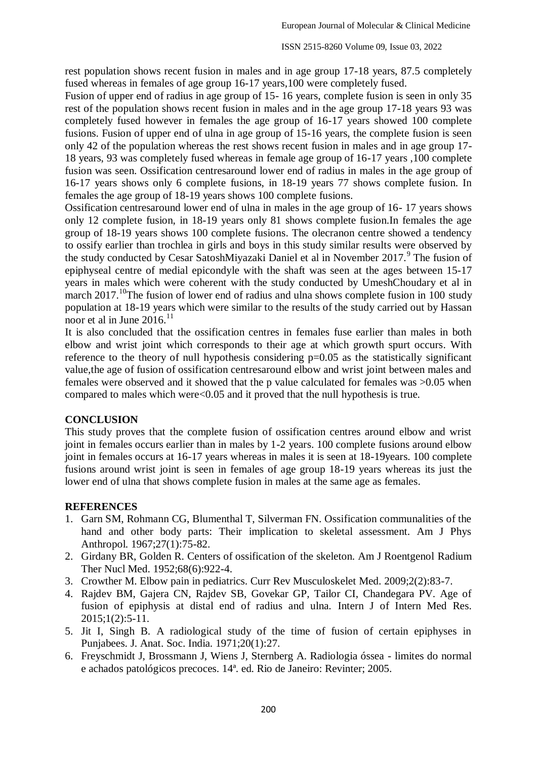rest population shows recent fusion in males and in age group 17-18 years, 87.5 completely fused whereas in females of age group 16-17 years,100 were completely fused.

Fusion of upper end of radius in age group of 15- 16 years, complete fusion is seen in only 35 rest of the population shows recent fusion in males and in the age group 17-18 years 93 was completely fused however in females the age group of 16-17 years showed 100 complete fusions. Fusion of upper end of ulna in age group of 15-16 years, the complete fusion is seen only 42 of the population whereas the rest shows recent fusion in males and in age group 17- 18 years, 93 was completely fused whereas in female age group of 16-17 years ,100 complete fusion was seen. Ossification centresaround lower end of radius in males in the age group of 16-17 years shows only 6 complete fusions, in 18-19 years 77 shows complete fusion. In females the age group of 18-19 years shows 100 complete fusions.

Ossification centresaround lower end of ulna in males in the age group of 16- 17 years shows only 12 complete fusion, in 18-19 years only 81 shows complete fusion.In females the age group of 18-19 years shows 100 complete fusions. The olecranon centre showed a tendency to ossify earlier than trochlea in girls and boys in this study similar results were observed by the study conducted by Cesar SatoshMiyazaki Daniel et al in November 2017.<sup>9</sup> The fusion of epiphyseal centre of medial epicondyle with the shaft was seen at the ages between 15-17 years in males which were coherent with the study conducted by UmeshChoudary et al in march 2017.<sup>10</sup>The fusion of lower end of radius and ulna shows complete fusion in 100 study population at 18-19 years which were similar to the results of the study carried out by Hassan noor et al in June 2016.<sup>11</sup>

It is also concluded that the ossification centres in females fuse earlier than males in both elbow and wrist joint which corresponds to their age at which growth spurt occurs. With reference to the theory of null hypothesis considering  $p=0.05$  as the statistically significant value,the age of fusion of ossification centresaround elbow and wrist joint between males and females were observed and it showed that the p value calculated for females was >0.05 when compared to males which were<0.05 and it proved that the null hypothesis is true.

#### **CONCLUSION**

This study proves that the complete fusion of ossification centres around elbow and wrist joint in females occurs earlier than in males by 1-2 years. 100 complete fusions around elbow joint in females occurs at 16-17 years whereas in males it is seen at 18-19years. 100 complete fusions around wrist joint is seen in females of age group 18-19 years whereas its just the lower end of ulna that shows complete fusion in males at the same age as females.

#### **REFERENCES**

- 1. Garn SM, Rohmann CG, Blumenthal T, Silverman FN. Ossification communalities of the hand and other body parts: Their implication to skeletal assessment. Am J Phys Anthropol. 1967;27(1):75-82.
- 2. Girdany BR, Golden R. Centers of ossification of the skeleton. Am J Roentgenol Radium Ther Nucl Med. 1952;68(6):922-4.
- 3. Crowther M. Elbow pain in pediatrics. Curr Rev Musculoskelet Med. 2009;2(2):83-7.
- 4. Rajdev BM, Gajera CN, Rajdev SB, Govekar GP, Tailor CI, Chandegara PV. Age of fusion of epiphysis at distal end of radius and ulna. Intern J of Intern Med Res. 2015;1(2):5-11.
- 5. Jit I, Singh B. A radiological study of the time of fusion of certain epiphyses in Punjabees. J. Anat. Soc. India. 1971;20(1):27.
- 6. Freyschmidt J, Brossmann J, Wiens J, Sternberg A. Radiologia óssea limites do normal e achados patológicos precoces. 14ª. ed. Rio de Janeiro: Revinter; 2005.